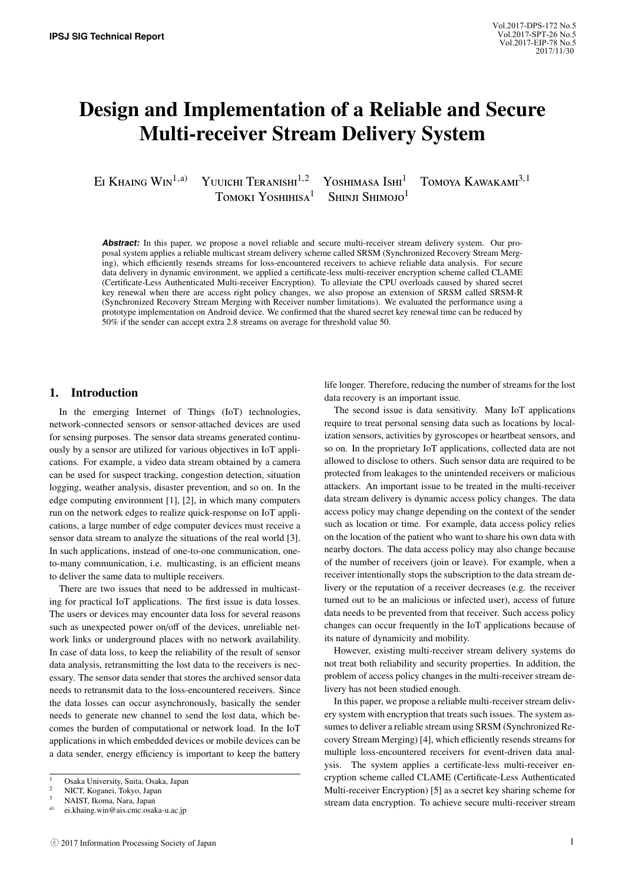# Design and Implementation of a Reliable and Secure Multi-receiver Stream Delivery System

EI KHAING WIN<sup>1,a)</sup> Yuuichi Teranishi<sup>1,2</sup> Yoshimasa Ishi<sup>1</sup> Tomoya Kawakami<sup>3,1</sup>

TOMOKI YOSHIHISA<sup>1</sup> SHINJI SHIMOJO<sup>1</sup>

**Abstract:** In this paper, we propose a novel reliable and secure multi-receiver stream delivery system. Our proposal system applies a reliable multicast stream delivery scheme called SRSM (Synchronized Recovery Stream Merging), which efficiently resends streams for loss-encountered receivers to achieve reliable data analysis. For secure data delivery in dynamic environment, we applied a certificate-less multi-receiver encryption scheme called CLAME (Certificate-Less Authenticated Multi-receiver Encryption). To alleviate the CPU overloads caused by shared secret key renewal when there are access right policy changes, we also propose an extension of SRSM called SRSM-R (Synchronized Recovery Stream Merging with Receiver number limitations). We evaluated the performance using a prototype implementation on Android device. We confirmed that the shared secret key renewal time can be reduced by 50% if the sender can accept extra 2.8 streams on average for threshold value 50.

## 1. Introduction

In the emerging Internet of Things (IoT) technologies, network-connected sensors or sensor-attached devices are used for sensing purposes. The sensor data streams generated continuously by a sensor are utilized for various objectives in IoT applications. For example, a video data stream obtained by a camera can be used for suspect tracking, congestion detection, situation logging, weather analysis, disaster prevention, and so on. In the edge computing environment [1], [2], in which many computers run on the network edges to realize quick-response on IoT applications, a large number of edge computer devices must receive a sensor data stream to analyze the situations of the real world [3]. In such applications, instead of one-to-one communication, oneto-many communication, i.e. multicasting, is an efficient means to deliver the same data to multiple receivers.

There are two issues that need to be addressed in multicasting for practical IoT applications. The first issue is data losses. The users or devices may encounter data loss for several reasons such as unexpected power on/off of the devices, unreliable network links or underground places with no network availability. In case of data loss, to keep the reliability of the result of sensor data analysis, retransmitting the lost data to the receivers is necessary. The sensor data sender that stores the archived sensor data needs to retransmit data to the loss-encountered receivers. Since the data losses can occur asynchronously, basically the sender needs to generate new channel to send the lost data, which becomes the burden of computational or network load. In the IoT applications in which embedded devices or mobile devices can be a data sender, energy efficiency is important to keep the battery

life longer. Therefore, reducing the number of streams for the lost data recovery is an important issue.

The second issue is data sensitivity. Many IoT applications require to treat personal sensing data such as locations by localization sensors, activities by gyroscopes or heartbeat sensors, and so on. In the proprietary IoT applications, collected data are not allowed to disclose to others. Such sensor data are required to be protected from leakages to the unintended receivers or malicious attackers. An important issue to be treated in the multi-receiver data stream delivery is dynamic access policy changes. The data access policy may change depending on the context of the sender such as location or time. For example, data access policy relies on the location of the patient who want to share his own data with nearby doctors. The data access policy may also change because of the number of receivers (join or leave). For example, when a receiver intentionally stops the subscription to the data stream delivery or the reputation of a receiver decreases (e.g. the receiver turned out to be an malicious or infected user), access of future data needs to be prevented from that receiver. Such access policy changes can occur frequently in the IoT applications because of its nature of dynamicity and mobility.

However, existing multi-receiver stream delivery systems do not treat both reliability and security properties. In addition, the problem of access policy changes in the multi-receiver stream delivery has not been studied enough.

In this paper, we propose a reliable multi-receiver stream delivery system with encryption that treats such issues. The system assumes to deliver a reliable stream using SRSM (Synchronized Recovery Stream Merging) [4], which efficiently resends streams for multiple loss-encountered receivers for event-driven data analysis. The system applies a certificate-less multi-receiver encryption scheme called CLAME (Certificate-Less Authenticated Multi-receiver Encryption) [5] as a secret key sharing scheme for stream data encryption. To achieve secure multi-receiver stream

<sup>1</sup> Osaka University, Suita, Osaka, Japan

<sup>2</sup> NICT, Koganei, Tokyo, Japan

<sup>&</sup>lt;sup>3</sup> NAIST, Ikoma, Nara, Japan<br>a) ai khaing win@ais.ama.goal

a) ei.khaing.win@ais.cmc.osaka-u.ac.jp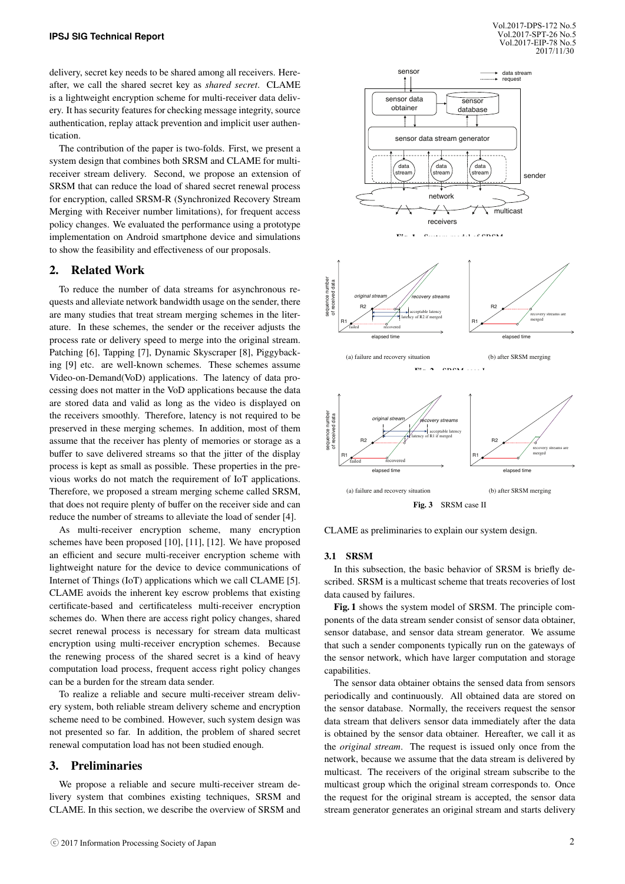delivery, secret key needs to be shared among all receivers. Hereafter, we call the shared secret key as *shared secret*. CLAME is a lightweight encryption scheme for multi-receiver data delivery. It has security features for checking message integrity, source authentication, replay attack prevention and implicit user authentication.

The contribution of the paper is two-folds. First, we present a system design that combines both SRSM and CLAME for multireceiver stream delivery. Second, we propose an extension of SRSM that can reduce the load of shared secret renewal process for encryption, called SRSM-R (Synchronized Recovery Stream Merging with Receiver number limitations), for frequent access policy changes. We evaluated the performance using a prototype implementation on Android smartphone device and simulations to show the feasibility and effectiveness of our proposals.

## 2. Related Work

To reduce the number of data streams for asynchronous requests and alleviate network bandwidth usage on the sender, there are many studies that treat stream merging schemes in the literature. In these schemes, the sender or the receiver adjusts the process rate or delivery speed to merge into the original stream. Patching [6], Tapping [7], Dynamic Skyscraper [8], Piggybacking [9] etc. are well-known schemes. These schemes assume Video-on-Demand(VoD) applications. The latency of data processing does not matter in the VoD applications because the data are stored data and valid as long as the video is displayed on the receivers smoothly. Therefore, latency is not required to be preserved in these merging schemes. In addition, most of them assume that the receiver has plenty of memories or storage as a buffer to save delivered streams so that the jitter of the display process is kept as small as possible. These properties in the previous works do not match the requirement of IoT applications. Therefore, we proposed a stream merging scheme called SRSM, that does not require plenty of buffer on the receiver side and can reduce the number of streams to alleviate the load of sender [4].

As multi-receiver encryption scheme, many encryption schemes have been proposed [10], [11], [12]. We have proposed an efficient and secure multi-receiver encryption scheme with lightweight nature for the device to device communications of Internet of Things (IoT) applications which we call CLAME [5]. CLAME avoids the inherent key escrow problems that existing certificate-based and certificateless multi-receiver encryption schemes do. When there are access right policy changes, shared secret renewal process is necessary for stream data multicast encryption using multi-receiver encryption schemes. Because the renewing process of the shared secret is a kind of heavy computation load process, frequent access right policy changes can be a burden for the stream data sender.

To realize a reliable and secure multi-receiver stream delivery system, both reliable stream delivery scheme and encryption scheme need to be combined. However, such system design was not presented so far. In addition, the problem of shared secret renewal computation load has not been studied enough.

## 3. Preliminaries

We propose a reliable and secure multi-receiver stream delivery system that combines existing techniques, SRSM and CLAME. In this section, we describe the overview of SRSM and



CLAME as preliminaries to explain our system design.

#### 3.1 SRSM

In this subsection, the basic behavior of SRSM is briefly described. SRSM is a multicast scheme that treats recoveries of lost data caused by failures.

Fig. 1 shows the system model of SRSM. The principle components of the data stream sender consist of sensor data obtainer, sensor database, and sensor data stream generator. We assume that such a sender components typically run on the gateways of the sensor network, which have larger computation and storage capabilities.

The sensor data obtainer obtains the sensed data from sensors periodically and continuously. All obtained data are stored on the sensor database. Normally, the receivers request the sensor data stream that delivers sensor data immediately after the data is obtained by the sensor data obtainer. Hereafter, we call it as the *original stream*. The request is issued only once from the network, because we assume that the data stream is delivered by multicast. The receivers of the original stream subscribe to the multicast group which the original stream corresponds to. Once the request for the original stream is accepted, the sensor data stream generator generates an original stream and starts delivery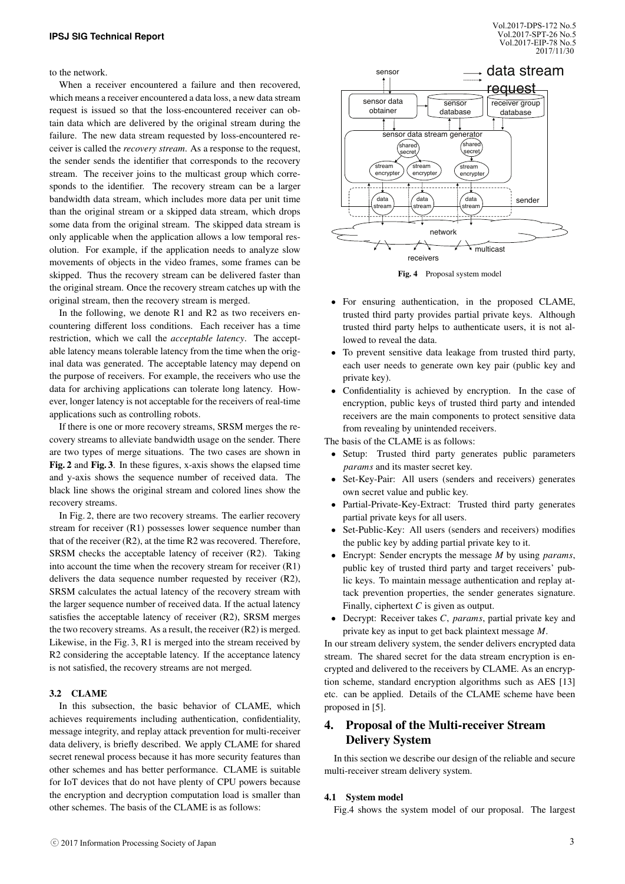to the network.

When a receiver encountered a failure and then recovered, which means a receiver encountered a data loss, a new data stream request is issued so that the loss-encountered receiver can obtain data which are delivered by the original stream during the failure. The new data stream requested by loss-encountered receiver is called the *recovery stream*. As a response to the request, the sender sends the identifier that corresponds to the recovery stream. The receiver joins to the multicast group which corresponds to the identifier. The recovery stream can be a larger bandwidth data stream, which includes more data per unit time than the original stream or a skipped data stream, which drops some data from the original stream. The skipped data stream is only applicable when the application allows a low temporal resolution. For example, if the application needs to analyze slow movements of objects in the video frames, some frames can be skipped. Thus the recovery stream can be delivered faster than the original stream. Once the recovery stream catches up with the original stream, then the recovery stream is merged.

In the following, we denote R1 and R2 as two receivers encountering different loss conditions. Each receiver has a time restriction, which we call the *acceptable latency*. The acceptable latency means tolerable latency from the time when the original data was generated. The acceptable latency may depend on the purpose of receivers. For example, the receivers who use the data for archiving applications can tolerate long latency. However, longer latency is not acceptable for the receivers of real-time applications such as controlling robots.

If there is one or more recovery streams, SRSM merges the recovery streams to alleviate bandwidth usage on the sender. There are two types of merge situations. The two cases are shown in Fig. 2 and Fig. 3. In these figures, x-axis shows the elapsed time and y-axis shows the sequence number of received data. The black line shows the original stream and colored lines show the recovery streams.

In Fig. 2, there are two recovery streams. The earlier recovery stream for receiver (R1) possesses lower sequence number than that of the receiver (R2), at the time R2 was recovered. Therefore, SRSM checks the acceptable latency of receiver (R2). Taking into account the time when the recovery stream for receiver (R1) delivers the data sequence number requested by receiver (R2), SRSM calculates the actual latency of the recovery stream with the larger sequence number of received data. If the actual latency satisfies the acceptable latency of receiver (R2), SRSM merges the two recovery streams. As a result, the receiver (R2) is merged. Likewise, in the Fig. 3, R1 is merged into the stream received by R2 considering the acceptable latency. If the acceptance latency is not satisfied, the recovery streams are not merged.

#### 3.2 CLAME

In this subsection, the basic behavior of CLAME, which achieves requirements including authentication, confidentiality, message integrity, and replay attack prevention for multi-receiver data delivery, is briefly described. We apply CLAME for shared secret renewal process because it has more security features than other schemes and has better performance. CLAME is suitable for IoT devices that do not have plenty of CPU powers because the encryption and decryption computation load is smaller than other schemes. The basis of the CLAME is as follows:



Fig. 4 Proposal system model

- For ensuring authentication, in the proposed CLAME, trusted third party provides partial private keys. Although trusted third party helps to authenticate users, it is not allowed to reveal the data.
- To prevent sensitive data leakage from trusted third party, each user needs to generate own key pair (public key and private key).
- Confidentiality is achieved by encryption. In the case of encryption, public keys of trusted third party and intended receivers are the main components to protect sensitive data from revealing by unintended receivers.

The basis of the CLAME is as follows:

- Setup: Trusted third party generates public parameters *params* and its master secret key.
- Set-Key-Pair: All users (senders and receivers) generates own secret value and public key.
- Partial-Private-Key-Extract: Trusted third party generates partial private keys for all users.
- Set-Public-Key: All users (senders and receivers) modifies the public key by adding partial private key to it.
- Encrypt: Sender encrypts the message *M* by using *params*, public key of trusted third party and target receivers' public keys. To maintain message authentication and replay attack prevention properties, the sender generates signature. Finally, ciphertext *C* is given as output.
- Decrypt: Receiver takes *C*, *params*, partial private key and private key as input to get back plaintext message *M*.

In our stream delivery system, the sender delivers encrypted data stream. The shared secret for the data stream encryption is encrypted and delivered to the receivers by CLAME. As an encryption scheme, standard encryption algorithms such as AES [13] etc. can be applied. Details of the CLAME scheme have been proposed in [5].

# 4. Proposal of the Multi-receiver Stream Delivery System

In this section we describe our design of the reliable and secure multi-receiver stream delivery system.

#### 4.1 System model

Fig.4 shows the system model of our proposal. The largest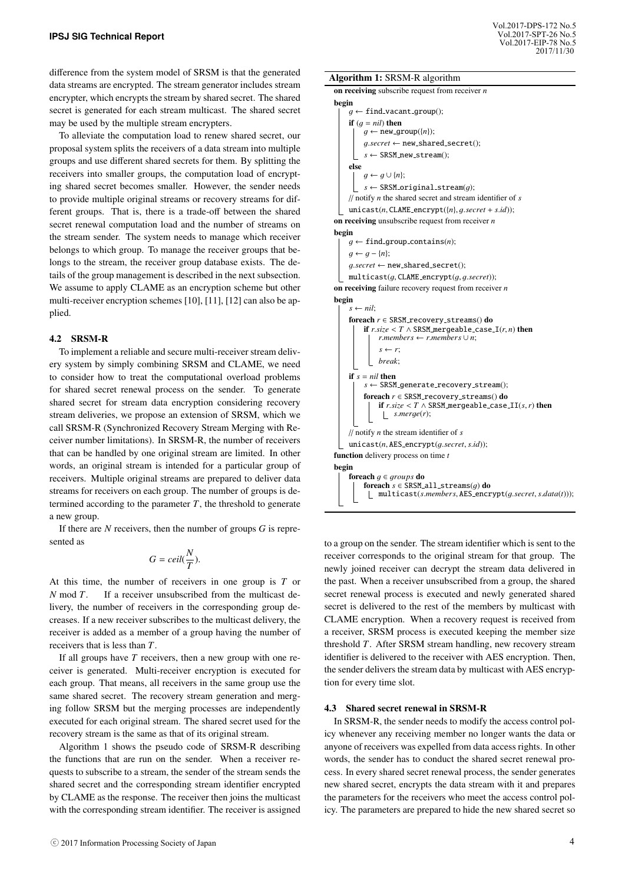difference from the system model of SRSM is that the generated data streams are encrypted. The stream generator includes stream encrypter, which encrypts the stream by shared secret. The shared secret is generated for each stream multicast. The shared secret may be used by the multiple stream encrypters.

To alleviate the computation load to renew shared secret, our proposal system splits the receivers of a data stream into multiple groups and use different shared secrets for them. By splitting the receivers into smaller groups, the computation load of encrypting shared secret becomes smaller. However, the sender needs to provide multiple original streams or recovery streams for different groups. That is, there is a trade-off between the shared secret renewal computation load and the number of streams on the stream sender. The system needs to manage which receiver belongs to which group. To manage the receiver groups that belongs to the stream, the receiver group database exists. The details of the group management is described in the next subsection. We assume to apply CLAME as an encryption scheme but other multi-receiver encryption schemes [10], [11], [12] can also be applied.

## 4.2 SRSM-R

To implement a reliable and secure multi-receiver stream delivery system by simply combining SRSM and CLAME, we need to consider how to treat the computational overload problems for shared secret renewal process on the sender. To generate shared secret for stream data encryption considering recovery stream deliveries, we propose an extension of SRSM, which we call SRSM-R (Synchronized Recovery Stream Merging with Receiver number limitations). In SRSM-R, the number of receivers that can be handled by one original stream are limited. In other words, an original stream is intended for a particular group of receivers. Multiple original streams are prepared to deliver data streams for receivers on each group. The number of groups is determined according to the parameter  $T$ , the threshold to generate a new group.

If there are *N* receivers, then the number of groups *G* is represented as

$$
G=ceil(\frac{N}{T}).
$$

At this time, the number of receivers in one group is *T* or *N* mod *T*. If a receiver unsubscribed from the multicast delivery, the number of receivers in the corresponding group decreases. If a new receiver subscribes to the multicast delivery, the receiver is added as a member of a group having the number of receivers that is less than *T*.

If all groups have *T* receivers, then a new group with one receiver is generated. Multi-receiver encryption is executed for each group. That means, all receivers in the same group use the same shared secret. The recovery stream generation and merging follow SRSM but the merging processes are independently executed for each original stream. The shared secret used for the recovery stream is the same as that of its original stream.

Algorithm 1 shows the pseudo code of SRSM-R describing the functions that are run on the sender. When a receiver requests to subscribe to a stream, the sender of the stream sends the shared secret and the corresponding stream identifier encrypted by CLAME as the response. The receiver then joins the multicast with the corresponding stream identifier. The receiver is assigned



| on receiving subscribe request from receiver $n$                                    |  |  |
|-------------------------------------------------------------------------------------|--|--|
| begin                                                                               |  |  |
| $q \leftarrow \text{find\_vacant\_group}$ .                                         |  |  |
| if $(q = nil)$ then                                                                 |  |  |
| $g \leftarrow \text{new\_group}(\{n\});$                                            |  |  |
| $g.secret \leftarrow new-shared\_secret();$                                         |  |  |
| $s \leftarrow$ SRSM_new_stream();                                                   |  |  |
| else                                                                                |  |  |
| $q \leftarrow q \cup \{n\};$                                                        |  |  |
| $s \leftarrow$ SRSM_original_stream(q);                                             |  |  |
| $\frac{1}{\pi}$ notify <i>n</i> the shared secret and stream identifier of <i>s</i> |  |  |
| $unicast(n, CLAME\_encrypt(\{n\}, g.secret + s.id));$                               |  |  |
| on receiving unsubscribe request from receiver $n$                                  |  |  |
| begin<br>$q \leftarrow \text{find-group\_contains}(n);$                             |  |  |
| $q \leftarrow q - \{n\};$                                                           |  |  |
| $g.secret \leftarrow new\_shared\_secret();$                                        |  |  |
|                                                                                     |  |  |
| $multicast(g, CLAME\text{.} \text{encryption}(g, g\text{.} \text{secret}));$        |  |  |
| on receiving failure recovery request from receiver $n$                             |  |  |
| begin<br>$s \leftarrow nil;$                                                        |  |  |
| foreach $r \in$ SRSM_recovery_streams() do                                          |  |  |
| <b>if</b> $r.size < T \wedge$ SRSM_mergeable_case_I( $r, n$ ) then                  |  |  |
| r.members $\leftarrow$ r.members $\cup$ n;                                          |  |  |
| $s \leftarrow r$                                                                    |  |  |
| break:                                                                              |  |  |
| if $s = nil$ then                                                                   |  |  |
| $s \leftarrow$ SRSM_generate_recovery_stream();                                     |  |  |
| foreach $r \in$ SRSM_recovery_streams() do                                          |  |  |
| <b>if</b> $r.size < T \wedge$ SRSM mergeable case $\text{II}(s, r)$ then            |  |  |
| s. merge(r);                                                                        |  |  |
| $\frac{1}{\pi}$ notify <i>n</i> the stream identifier of <i>s</i>                   |  |  |
| $unicast(n, AES\text{-}encrypt(q\text{-}secret, s.id));$                            |  |  |
| function delivery process on time t                                                 |  |  |
| begin                                                                               |  |  |
| foreach $g \in groups$ do                                                           |  |  |
| foreach $s \in$ SRSM_all_streams(q) do                                              |  |  |
| multicast(s.members, AES_encrypt(g.secret, s.data(t)));                             |  |  |
|                                                                                     |  |  |

to a group on the sender. The stream identifier which is sent to the receiver corresponds to the original stream for that group. The newly joined receiver can decrypt the stream data delivered in the past. When a receiver unsubscribed from a group, the shared secret renewal process is executed and newly generated shared secret is delivered to the rest of the members by multicast with CLAME encryption. When a recovery request is received from a receiver, SRSM process is executed keeping the member size threshold *T*. After SRSM stream handling, new recovery stream identifier is delivered to the receiver with AES encryption. Then, the sender delivers the stream data by multicast with AES encryption for every time slot.

## 4.3 Shared secret renewal in SRSM-R

In SRSM-R, the sender needs to modify the access control policy whenever any receiving member no longer wants the data or anyone of receivers was expelled from data access rights. In other words, the sender has to conduct the shared secret renewal process. In every shared secret renewal process, the sender generates new shared secret, encrypts the data stream with it and prepares the parameters for the receivers who meet the access control policy. The parameters are prepared to hide the new shared secret so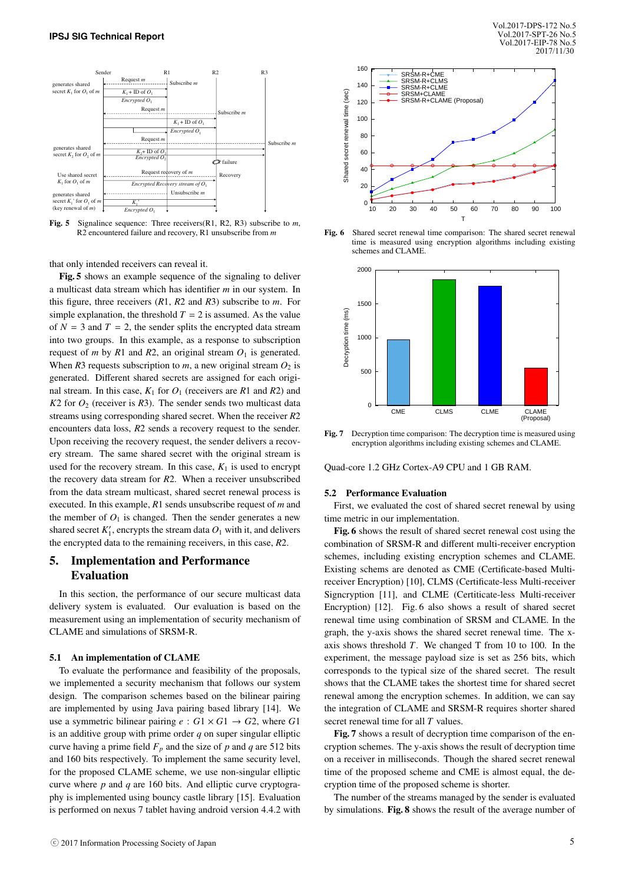

Fig. 5 Signalince sequence: Three receivers(R1, R2, R3) subscribe to *m*, R2 encountered failure and recovery, R1 unsubscribe from *m*

that only intended receivers can reveal it.

Fig. 5 shows an example sequence of the signaling to deliver a multicast data stream which has identifier *m* in our system. In this figure, three receivers (*R*1, *R*2 and *R*3) subscribe to *m*. For simple explanation, the threshold  $T = 2$  is assumed. As the value of  $N = 3$  and  $T = 2$ , the sender splits the encrypted data stream into two groups. In this example, as a response to subscription request of *m* by *R*1 and *R*2, an original stream  $O<sub>1</sub>$  is generated. When  $R3$  requests subscription to  $m$ , a new original stream  $O_2$  is generated. Different shared secrets are assigned for each original stream. In this case,  $K_1$  for  $O_1$  (receivers are  $R_1$  and  $R_2$ ) and  $K2$  for  $O_2$  (receiver is  $R3$ ). The sender sends two multicast data streams using corresponding shared secret. When the receiver *R*2 encounters data loss, *R*2 sends a recovery request to the sender. Upon receiving the recovery request, the sender delivers a recovery stream. The same shared secret with the original stream is used for the recovery stream. In this case,  $K_1$  is used to encrypt the recovery data stream for *R*2. When a receiver unsubscribed from the data stream multicast, shared secret renewal process is executed. In this example, *R*1 sends unsubscribe request of *m* and the member of  $O_1$  is changed. Then the sender generates a new shared secret  $K_1'$ , encrypts the stream data  $O_1$  with it, and delivers the encrypted data to the remaining receivers, in this case, *R*2.

# 5. Implementation and Performance Evaluation

In this section, the performance of our secure multicast data delivery system is evaluated. Our evaluation is based on the measurement using an implementation of security mechanism of CLAME and simulations of SRSM-R.

#### 5.1 An implementation of CLAME

To evaluate the performance and feasibility of the proposals, we implemented a security mechanism that follows our system design. The comparison schemes based on the bilinear pairing are implemented by using Java pairing based library [14]. We use a symmetric bilinear pairing  $e : G1 \times G1 \rightarrow G2$ , where *G1* is an additive group with prime order *q* on super singular elliptic curve having a prime field  $F_p$  and the size of  $p$  and  $q$  are 512 bits and 160 bits respectively. To implement the same security level, for the proposed CLAME scheme, we use non-singular elliptic curve where *p* and *q* are 160 bits. And elliptic curve cryptography is implemented using bouncy castle library [15]. Evaluation is performed on nexus 7 tablet having android version 4.4.2 with



Fig. 6 Shared secret renewal time comparison: The shared secret renewal time is measured using encryption algorithms including existing schemes and CLAME.



Fig. 7 Decryption time comparison: The decryption time is measured using encryption algorithms including existing schemes and CLAME.

Quad-core 1.2 GHz Cortex-A9 CPU and 1 GB RAM.

#### 5.2 Performance Evaluation

First, we evaluated the cost of shared secret renewal by using time metric in our implementation.

Fig. 6 shows the result of shared secret renewal cost using the combination of SRSM-R and different multi-receiver encryption schemes, including existing encryption schemes and CLAME. Existing schems are denoted as CME (Certificate-based Multireceiver Encryption) [10], CLMS (Certificate-less Multi-receiver Signcryption [11], and CLME (Certiticate-less Multi-receiver Encryption) [12]. Fig. 6 also shows a result of shared secret renewal time using combination of SRSM and CLAME. In the graph, the y-axis shows the shared secret renewal time. The xaxis shows threshold *T*. We changed T from 10 to 100. In the experiment, the message payload size is set as 256 bits, which corresponds to the typical size of the shared secret. The result shows that the CLAME takes the shortest time for shared secret renewal among the encryption schemes. In addition, we can say the integration of CLAME and SRSM-R requires shorter shared secret renewal time for all *T* values.

Fig. 7 shows a result of decryption time comparison of the encryption schemes. The y-axis shows the result of decryption time on a receiver in milliseconds. Though the shared secret renewal time of the proposed scheme and CME is almost equal, the decryption time of the proposed scheme is shorter.

The number of the streams managed by the sender is evaluated by simulations. Fig. 8 shows the result of the average number of